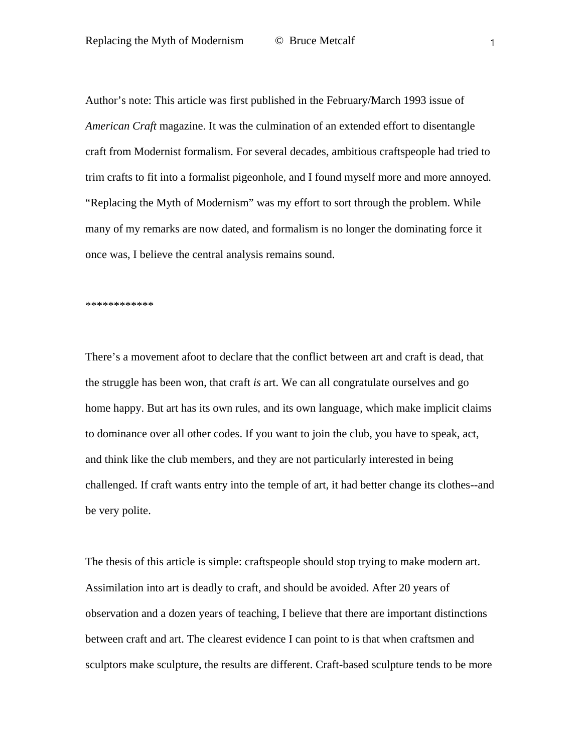Author's note: This article was first published in the February/March 1993 issue of *American Craft* magazine. It was the culmination of an extended effort to disentangle craft from Modernist formalism. For several decades, ambitious craftspeople had tried to trim crafts to fit into a formalist pigeonhole, and I found myself more and more annoyed. "Replacing the Myth of Modernism" was my effort to sort through the problem. While many of my remarks are now dated, and formalism is no longer the dominating force it once was, I believe the central analysis remains sound.

\*\*\*\*\*\*\*\*\*\*\*\*

There's a movement afoot to declare that the conflict between art and craft is dead, that the struggle has been won, that craft *is* art. We can all congratulate ourselves and go home happy. But art has its own rules, and its own language, which make implicit claims to dominance over all other codes. If you want to join the club, you have to speak, act, and think like the club members, and they are not particularly interested in being challenged. If craft wants entry into the temple of art, it had better change its clothes--and be very polite.

The thesis of this article is simple: craftspeople should stop trying to make modern art. Assimilation into art is deadly to craft, and should be avoided. After 20 years of observation and a dozen years of teaching, I believe that there are important distinctions between craft and art. The clearest evidence I can point to is that when craftsmen and sculptors make sculpture, the results are different. Craft-based sculpture tends to be more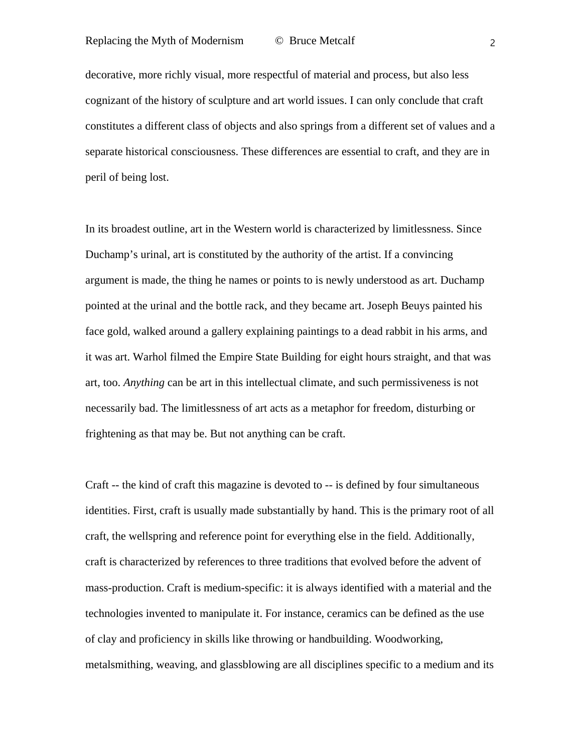decorative, more richly visual, more respectful of material and process, but also less cognizant of the history of sculpture and art world issues. I can only conclude that craft constitutes a different class of objects and also springs from a different set of values and a separate historical consciousness. These differences are essential to craft, and they are in peril of being lost.

<span id="page-1-0"></span>In its broadest outline, art in the Western world is characterized by limitlessness. Since Duchamp's urinal, art is constituted by the authority of the artist. If a convincing argument is made, the thing he names or points to is newly understood as art. Duchamp pointed at the urinal and the bottle rack, and they became art. Joseph Beuys painted his face gold, walked around a gallery explaining paintings to a dead rabbit in his arms, and it was art. Warhol filmed the Empire State Building for eight hours straight, and that was art, too. *Anything* can be art in this intellectual climate, and such permissiveness is not necessarily bad. The limitlessness of art acts as a metaphor for freedom, disturbing or frightening as that may be. But not anything can be craft.

<span id="page-1-5"></span><span id="page-1-4"></span><span id="page-1-3"></span><span id="page-1-2"></span><span id="page-1-1"></span>Craft -- the kind of craft this magazine is devoted to -- is defined by four simultaneous identities. First, craft is usually made substantially by hand. This is the primary root of all craft, the wellspring and reference point for everything else in the field. Additionally, craft is characterized by references to three traditions that evolved before the advent of mass-production. Craft is medium-specific: it is always identified with a material and the technologies invented to manipulate it. For instance, ceramics can be defined as the use of clay and proficiency in skills like throwing or handbuilding. Woodworking, metalsmithing, weaving, and glassblowing are all disciplines specific to a medium and its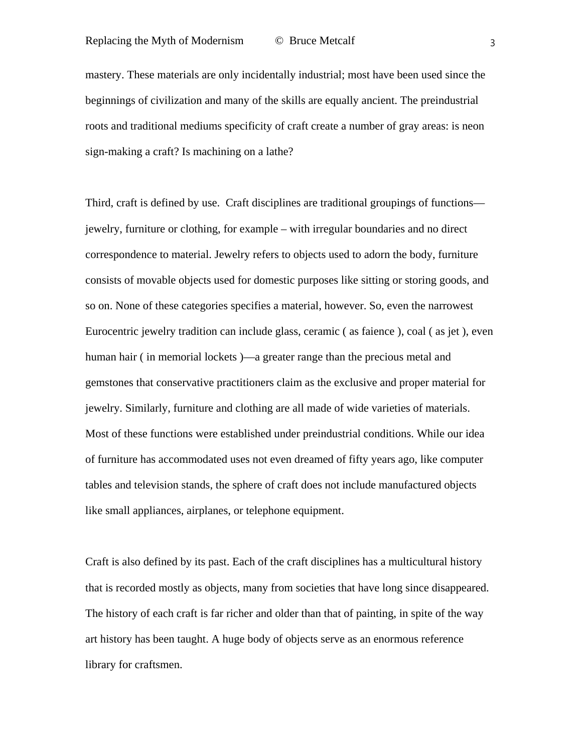<span id="page-2-0"></span>mastery. These materials are only incidentally industrial; most have been used since the beginnings of civilization and many of the skills are equally ancient. The preindustrial roots and traditional mediums specificity of craft create a number of gray areas: is neon sign-making a craft? Is machining on a lathe?

<span id="page-2-2"></span><span id="page-2-1"></span>Third, craft is defined by use. Craft disciplines are traditional groupings of functions jewelry, furniture or clothing, for example – with irregular boundaries and no direct correspondence to material. Jewelry refers to objects used to adorn the body, furniture consists of movable objects used for domestic purposes like sitting or storing goods, and so on. None of these categories specifies a material, however. So, even the narrowest Eurocentric jewelry tradition can include glass, ceramic ( as faience ), coal ( as jet ), even human hair ( in memorial lockets )—a greater range than the precious metal and gemstones that conservative practitioners claim as the exclusive and proper material for jewelry. Similarly, furniture and clothing are all made of wide varieties of materials. Most of these functions were established under preindustrial conditions. While our idea of furniture has accommodated uses not even dreamed of fifty years ago, like computer tables and television stands, the sphere of craft does not include manufactured objects like small appliances, airplanes, or telephone equipment.

Craft is also defined by its past. Each of the craft disciplines has a multicultural history that is recorded mostly as objects, many from societies that have long since disappeared. The history of each craft is far richer and older than that of painting, in spite of the way art history has been taught. A huge body of objects serve as an enormous reference library for craftsmen.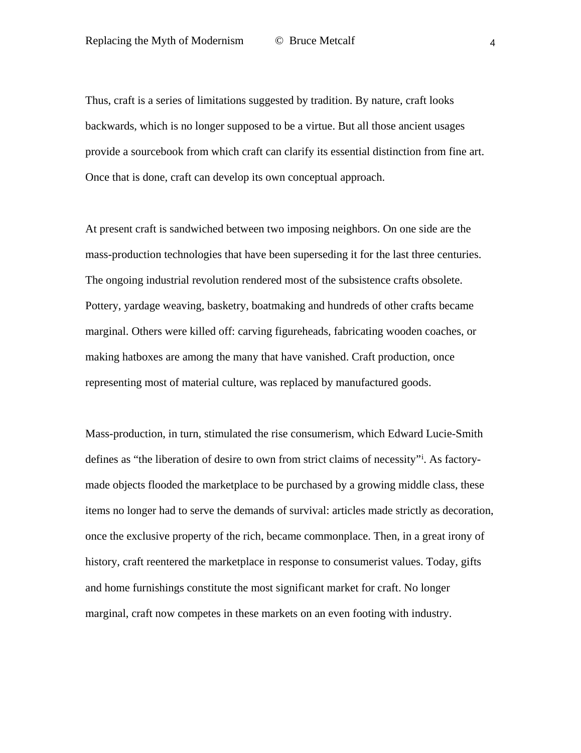Thus, craft is a series of limitations suggested by tradition. By nature, craft looks backwards, which is no longer supposed to be a virtue. But all those ancient usages provide a sourcebook from which craft can clarify its essential distinction from fine art. Once that is done, craft can develop its own conceptual approach.

At present craft is sandwiched between two imposing neighbors. On one side are the mass-production technologies that have been superseding it for the last three centuries. The ongoing industrial revolution rendered most of the subsistence crafts obsolete. Pottery, yardage weaving, basketry, boatmaking and hundreds of other crafts became marginal. Others were killed off: carving figureheads, fabricating wooden coaches, or making hatboxes are among the many that have vanished. Craft production, once representing most of material culture, was replaced by manufactured goods.

Mass-production, in turn, stimulated the rise consumerism, which Edward Lucie-Smith def[i](#page-1-0)nes as "the liberation of desire to own from strict claims of necessity"<sup>i</sup>. As factorymade objects flooded the marketplace to be purchased by a growing middle class, these items no longer had to serve the demands of survival: articles made strictly as decoration, once the exclusive property of the rich, became commonplace. Then, in a great irony of history, craft reentered the marketplace in response to consumerist values. Today, gifts and home furnishings constitute the most significant market for craft. No longer marginal, craft now competes in these markets on an even footing with industry.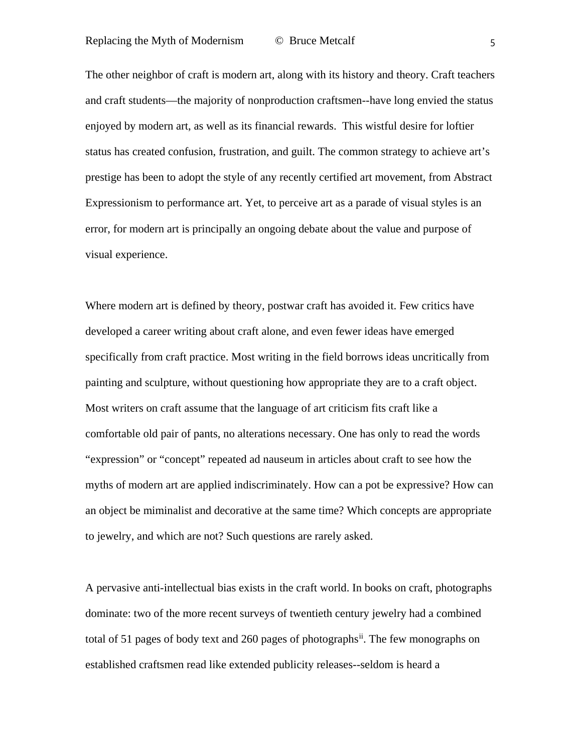The other neighbor of craft is modern art, along with its history and theory. Craft teachers and craft students—the majority of nonproduction craftsmen--have long envied the status enjoyed by modern art, as well as its financial rewards. This wistful desire for loftier status has created confusion, frustration, and guilt. The common strategy to achieve art's prestige has been to adopt the style of any recently certified art movement, from Abstract Expressionism to performance art. Yet, to perceive art as a parade of visual styles is an error, for modern art is principally an ongoing debate about the value and purpose of visual experience.

Where modern art is defined by theory, postwar craft has avoided it. Few critics have developed a career writing about craft alone, and even fewer ideas have emerged specifically from craft practice. Most writing in the field borrows ideas uncritically from painting and sculpture, without questioning how appropriate they are to a craft object. Most writers on craft assume that the language of art criticism fits craft like a comfortable old pair of pants, no alterations necessary. One has only to read the words "expression" or "concept" repeated ad nauseum in articles about craft to see how the myths of modern art are applied indiscriminately. How can a pot be expressive? How can an object be miminalist and decorative at the same time? Which concepts are appropriate to jewelry, and which are not? Such questions are rarely asked.

A pervasive anti-intellectual bias exists in the craft world. In books on craft, photographs dominate: two of the more recent surveys of twentieth century jewelry had a combined total of 51 pages of body text and 260 pages of photographs<sup>ii</sup>. The few monographs on established craftsmen read like extended publicity releases--seldom is heard a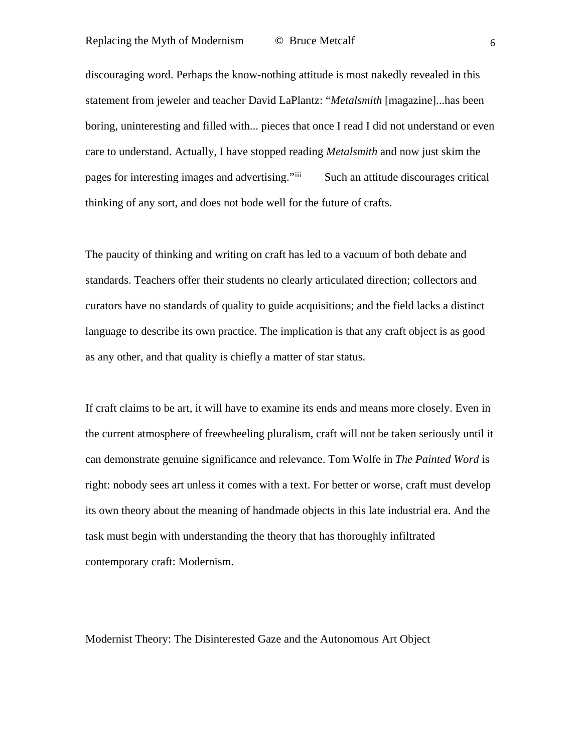discouraging word. Perhaps the know-nothing attitude is most nakedly revealed in this statement from jeweler and teacher David LaPlantz: "*Metalsmith* [magazine]...has been boring, uninteresting and filled with... pieces that once I read I did not understand or even care to understand. Actually, I have stopped reading *Metalsmith* and now just skim the pages for interesting images and advertising."<sup>[iii](#page-1-2)</sup> Such an attitude discourages critical thinking of any sort, and does not bode well for the future of crafts.

The paucity of thinking and writing on craft has led to a vacuum of both debate and standards. Teachers offer their students no clearly articulated direction; collectors and curators have no standards of quality to guide acquisitions; and the field lacks a distinct language to describe its own practice. The implication is that any craft object is as good as any other, and that quality is chiefly a matter of star status.

If craft claims to be art, it will have to examine its ends and means more closely. Even in the current atmosphere of freewheeling pluralism, craft will not be taken seriously until it can demonstrate genuine significance and relevance. Tom Wolfe in *The Painted Word* is right: nobody sees art unless it comes with a text. For better or worse, craft must develop its own theory about the meaning of handmade objects in this late industrial era. And the task must begin with understanding the theory that has thoroughly infiltrated contemporary craft: Modernism.

Modernist Theory: The Disinterested Gaze and the Autonomous Art Object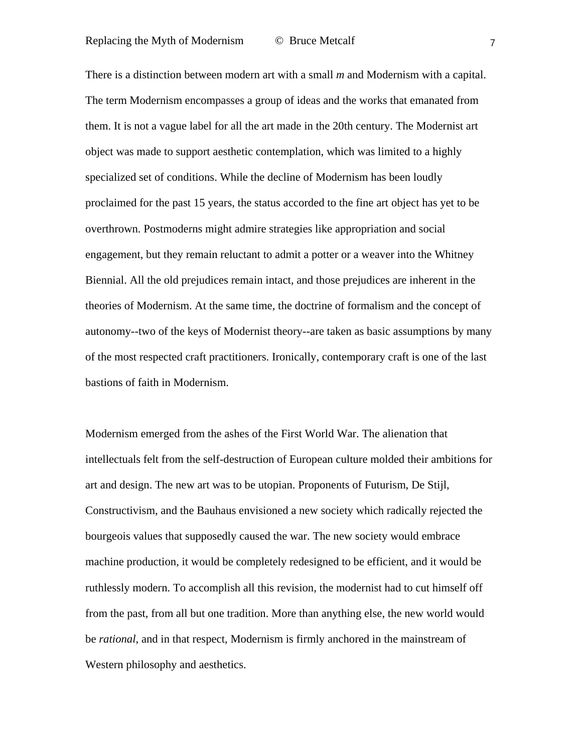There is a distinction between modern art with a small *m* and Modernism with a capital. The term Modernism encompasses a group of ideas and the works that emanated from them. It is not a vague label for all the art made in the 20th century. The Modernist art object was made to support aesthetic contemplation, which was limited to a highly specialized set of conditions. While the decline of Modernism has been loudly proclaimed for the past 15 years, the status accorded to the fine art object has yet to be overthrown. Postmoderns might admire strategies like appropriation and social engagement, but they remain reluctant to admit a potter or a weaver into the Whitney Biennial. All the old prejudices remain intact, and those prejudices are inherent in the theories of Modernism. At the same time, the doctrine of formalism and the concept of autonomy--two of the keys of Modernist theory--are taken as basic assumptions by many of the most respected craft practitioners. Ironically, contemporary craft is one of the last bastions of faith in Modernism.

Modernism emerged from the ashes of the First World War. The alienation that intellectuals felt from the self-destruction of European culture molded their ambitions for art and design. The new art was to be utopian. Proponents of Futurism, De Stijl, Constructivism, and the Bauhaus envisioned a new society which radically rejected the bourgeois values that supposedly caused the war. The new society would embrace machine production, it would be completely redesigned to be efficient, and it would be ruthlessly modern. To accomplish all this revision, the modernist had to cut himself off from the past, from all but one tradition. More than anything else, the new world would be *rational*, and in that respect, Modernism is firmly anchored in the mainstream of Western philosophy and aesthetics.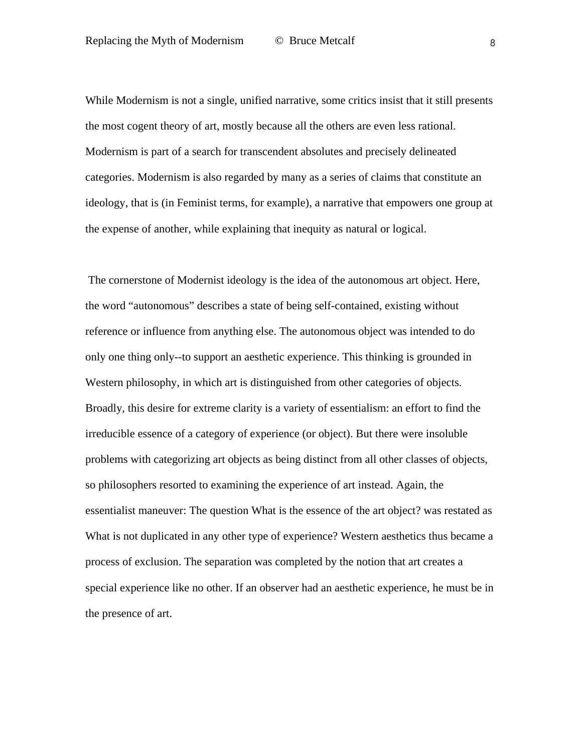While Modernism is not a single, unified narrative, some critics insist that it still presents the most cogent theory of art, mostly because all the others are even less rational. Modernism is part of a search for transcendent absolutes and precisely delineated categories. Modernism is also regarded by many as a series of claims that constitute an ideology, that is (in Feminist terms, for example), a narrative that empowers one group at the expense of another, while explaining that inequity as natural or logical.

The cornerstone of Modernist ideology is the idea of the autonomous art object. Here, the word "autonomous" describes a state of being self-contained, existing without reference or influence from anything else. The autonomous object was intended to do only one thing only--to support an aesthetic experience. This thinking is grounded in Western philosophy, in which art is distinguished from other categories of objects. Broadly, this desire for extreme clarity is a variety of essentialism: an effort to find the irreducible essence of a category of experience (or object). But there were insoluble problems with categorizing art objects as being distinct from all other classes of objects, so philosophers resorted to examining the experience of art instead. Again, the essentialist maneuver: The question What is the essence of the art object? was restated as What is not duplicated in any other type of experience? Western aesthetics thus became a process of exclusion. The separation was completed by the notion that art creates a special experience like no other. If an observer had an aesthetic experience, he must be in the presence of art.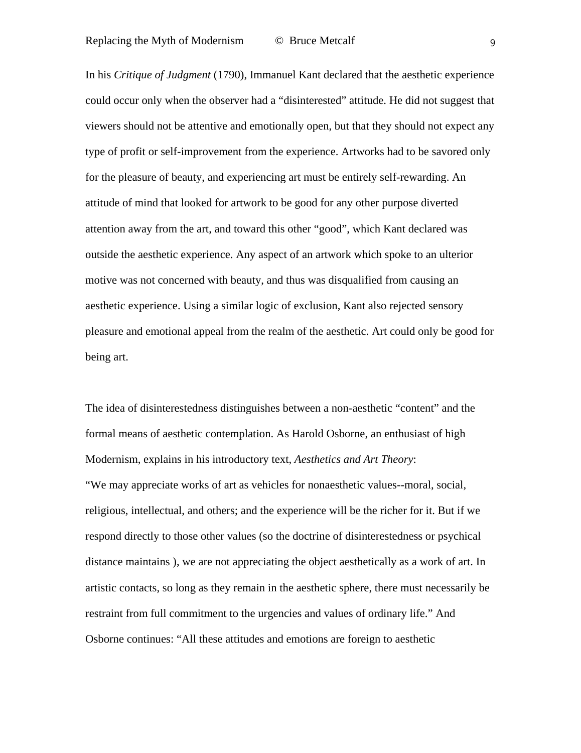In his *Critique of Judgment* (1790), Immanuel Kant declared that the aesthetic experience could occur only when the observer had a "disinterested" attitude. He did not suggest that viewers should not be attentive and emotionally open, but that they should not expect any type of profit or self-improvement from the experience. Artworks had to be savored only for the pleasure of beauty, and experiencing art must be entirely self-rewarding. An attitude of mind that looked for artwork to be good for any other purpose diverted attention away from the art, and toward this other "good", which Kant declared was outside the aesthetic experience. Any aspect of an artwork which spoke to an ulterior motive was not concerned with beauty, and thus was disqualified from causing an aesthetic experience. Using a similar logic of exclusion, Kant also rejected sensory pleasure and emotional appeal from the realm of the aesthetic. Art could only be good for being art.

The idea of disinterestedness distinguishes between a non-aesthetic "content" and the formal means of aesthetic contemplation. As Harold Osborne, an enthusiast of high Modernism, explains in his introductory text, *Aesthetics and Art Theory*: "We may appreciate works of art as vehicles for nonaesthetic values--moral, social, religious, intellectual, and others; and the experience will be the richer for it. But if we respond directly to those other values (so the doctrine of disinterestedness or psychical distance maintains ), we are not appreciating the object aesthetically as a work of art. In artistic contacts, so long as they remain in the aesthetic sphere, there must necessarily be restraint from full commitment to the urgencies and values of ordinary life." And Osborne continues: "All these attitudes and emotions are foreign to aesthetic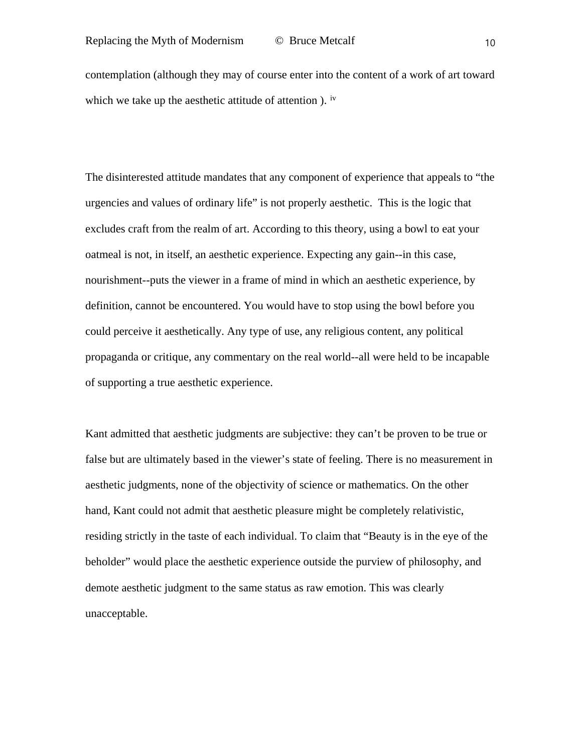contemplation (although they may of course enter into the content of a work of art toward which we take up the aesthetic attitude of attention ). <sup>[iv](#page-1-3)</sup>

The disinterested attitude mandates that any component of experience that appeals to "the urgencies and values of ordinary life" is not properly aesthetic. This is the logic that excludes craft from the realm of art. According to this theory, using a bowl to eat your oatmeal is not, in itself, an aesthetic experience. Expecting any gain--in this case, nourishment--puts the viewer in a frame of mind in which an aesthetic experience, by definition, cannot be encountered. You would have to stop using the bowl before you could perceive it aesthetically. Any type of use, any religious content, any political propaganda or critique, any commentary on the real world--all were held to be incapable of supporting a true aesthetic experience.

Kant admitted that aesthetic judgments are subjective: they can't be proven to be true or false but are ultimately based in the viewer's state of feeling. There is no measurement in aesthetic judgments, none of the objectivity of science or mathematics. On the other hand, Kant could not admit that aesthetic pleasure might be completely relativistic, residing strictly in the taste of each individual. To claim that "Beauty is in the eye of the beholder" would place the aesthetic experience outside the purview of philosophy, and demote aesthetic judgment to the same status as raw emotion. This was clearly unacceptable.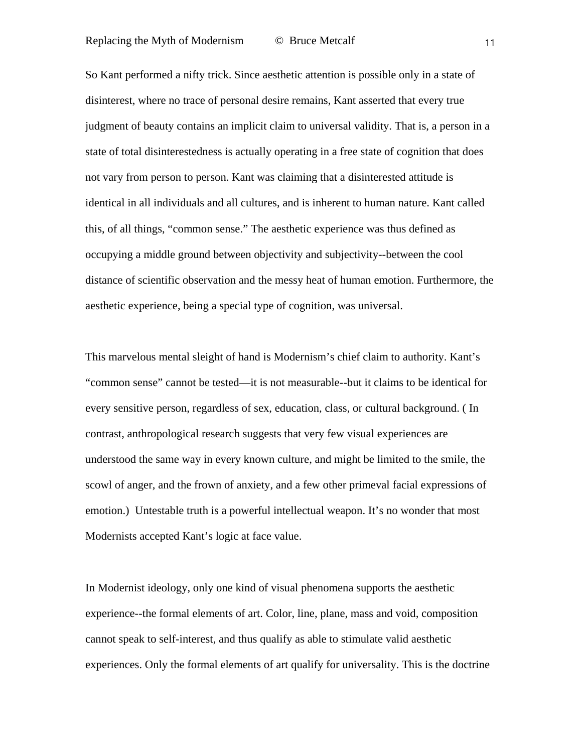So Kant performed a nifty trick. Since aesthetic attention is possible only in a state of disinterest, where no trace of personal desire remains, Kant asserted that every true judgment of beauty contains an implicit claim to universal validity. That is, a person in a state of total disinterestedness is actually operating in a free state of cognition that does not vary from person to person. Kant was claiming that a disinterested attitude is identical in all individuals and all cultures, and is inherent to human nature. Kant called this, of all things, "common sense." The aesthetic experience was thus defined as occupying a middle ground between objectivity and subjectivity--between the cool distance of scientific observation and the messy heat of human emotion. Furthermore, the aesthetic experience, being a special type of cognition, was universal.

This marvelous mental sleight of hand is Modernism's chief claim to authority. Kant's "common sense" cannot be tested—it is not measurable--but it claims to be identical for every sensitive person, regardless of sex, education, class, or cultural background. ( In contrast, anthropological research suggests that very few visual experiences are understood the same way in every known culture, and might be limited to the smile, the scowl of anger, and the frown of anxiety, and a few other primeval facial expressions of emotion.) Untestable truth is a powerful intellectual weapon. It's no wonder that most Modernists accepted Kant's logic at face value.

In Modernist ideology, only one kind of visual phenomena supports the aesthetic experience--the formal elements of art. Color, line, plane, mass and void, composition cannot speak to self-interest, and thus qualify as able to stimulate valid aesthetic experiences. Only the formal elements of art qualify for universality. This is the doctrine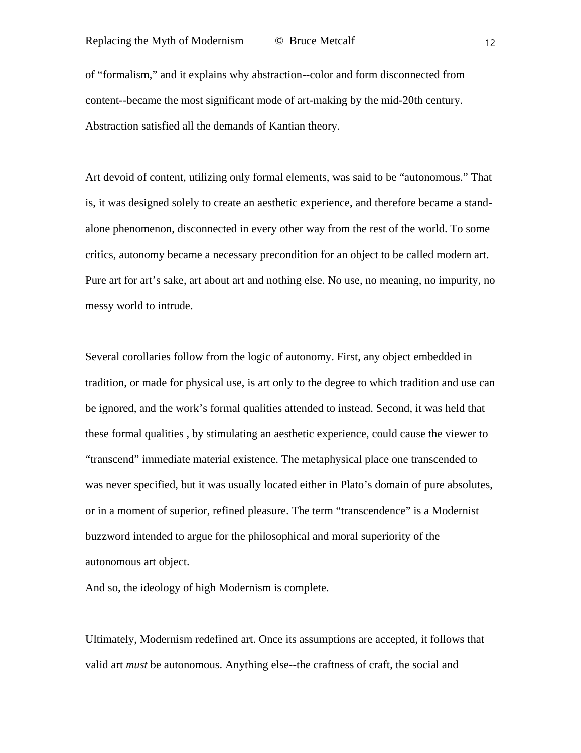of "formalism," and it explains why abstraction--color and form disconnected from content--became the most significant mode of art-making by the mid-20th century. Abstraction satisfied all the demands of Kantian theory.

Art devoid of content, utilizing only formal elements, was said to be "autonomous." That is, it was designed solely to create an aesthetic experience, and therefore became a standalone phenomenon, disconnected in every other way from the rest of the world. To some critics, autonomy became a necessary precondition for an object to be called modern art. Pure art for art's sake, art about art and nothing else. No use, no meaning, no impurity, no messy world to intrude.

Several corollaries follow from the logic of autonomy. First, any object embedded in tradition, or made for physical use, is art only to the degree to which tradition and use can be ignored, and the work's formal qualities attended to instead. Second, it was held that these formal qualities , by stimulating an aesthetic experience, could cause the viewer to "transcend" immediate material existence. The metaphysical place one transcended to was never specified, but it was usually located either in Plato's domain of pure absolutes, or in a moment of superior, refined pleasure. The term "transcendence" is a Modernist buzzword intended to argue for the philosophical and moral superiority of the autonomous art object.

And so, the ideology of high Modernism is complete.

Ultimately, Modernism redefined art. Once its assumptions are accepted, it follows that valid art *must* be autonomous. Anything else--the craftness of craft, the social and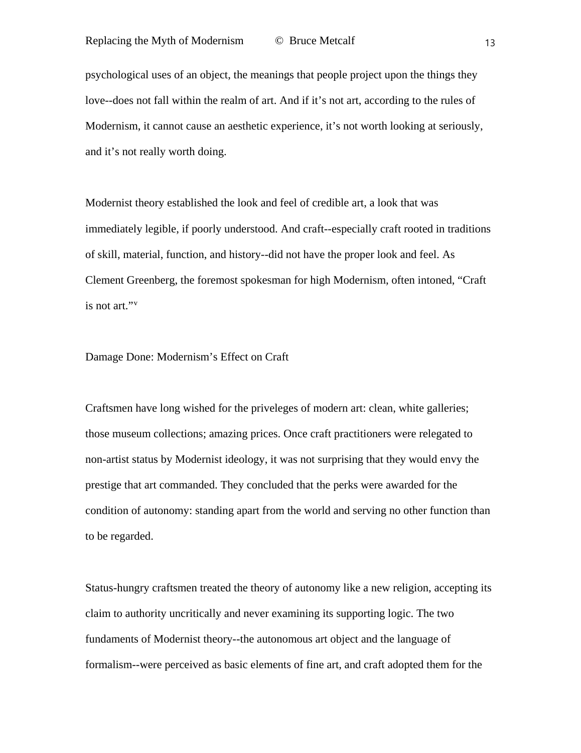psychological uses of an object, the meanings that people project upon the things they love--does not fall within the realm of art. And if it's not art, according to the rules of Modernism, it cannot cause an aesthetic experience, it's not worth looking at seriously, and it's not really worth doing.

Modernist theory established the look and feel of credible art, a look that was immediately legible, if poorly understood. And craft--especially craft rooted in traditions of skill, material, function, and history--did not have the proper look and feel. As Clement Greenberg, the foremost spokesman for high Modernism, often intoned, "Craft is not art."[v](#page-1-4)

Damage Done: Modernism's Effect on Craft

Craftsmen have long wished for the priveleges of modern art: clean, white galleries; those museum collections; amazing prices. Once craft practitioners were relegated to non-artist status by Modernist ideology, it was not surprising that they would envy the prestige that art commanded. They concluded that the perks were awarded for the condition of autonomy: standing apart from the world and serving no other function than to be regarded.

Status-hungry craftsmen treated the theory of autonomy like a new religion, accepting its claim to authority uncritically and never examining its supporting logic. The two fundaments of Modernist theory--the autonomous art object and the language of formalism--were perceived as basic elements of fine art, and craft adopted them for the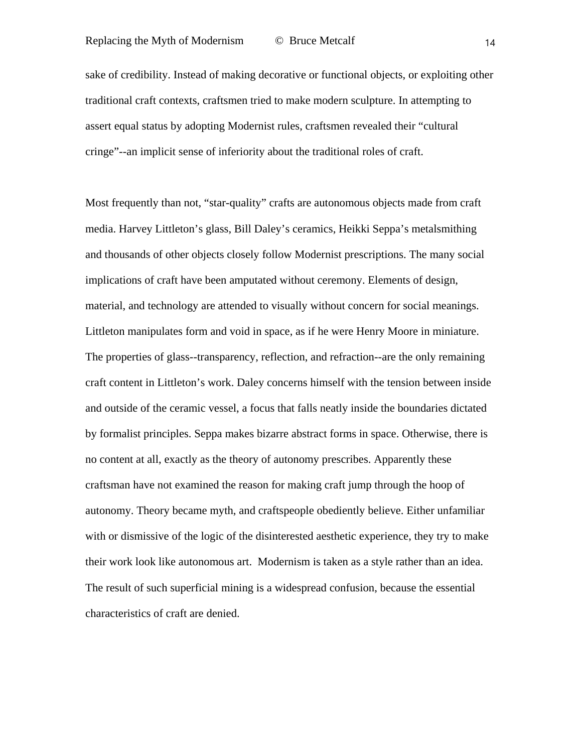sake of credibility. Instead of making decorative or functional objects, or exploiting other traditional craft contexts, craftsmen tried to make modern sculpture. In attempting to assert equal status by adopting Modernist rules, craftsmen revealed their "cultural cringe"--an implicit sense of inferiority about the traditional roles of craft.

Most frequently than not, "star-quality" crafts are autonomous objects made from craft media. Harvey Littleton's glass, Bill Daley's ceramics, Heikki Seppa's metalsmithing and thousands of other objects closely follow Modernist prescriptions. The many social implications of craft have been amputated without ceremony. Elements of design, material, and technology are attended to visually without concern for social meanings. Littleton manipulates form and void in space, as if he were Henry Moore in miniature. The properties of glass--transparency, reflection, and refraction--are the only remaining craft content in Littleton's work. Daley concerns himself with the tension between inside and outside of the ceramic vessel, a focus that falls neatly inside the boundaries dictated by formalist principles. Seppa makes bizarre abstract forms in space. Otherwise, there is no content at all, exactly as the theory of autonomy prescribes. Apparently these craftsman have not examined the reason for making craft jump through the hoop of autonomy. Theory became myth, and craftspeople obediently believe. Either unfamiliar with or dismissive of the logic of the disinterested aesthetic experience, they try to make their work look like autonomous art. Modernism is taken as a style rather than an idea. The result of such superficial mining is a widespread confusion, because the essential characteristics of craft are denied.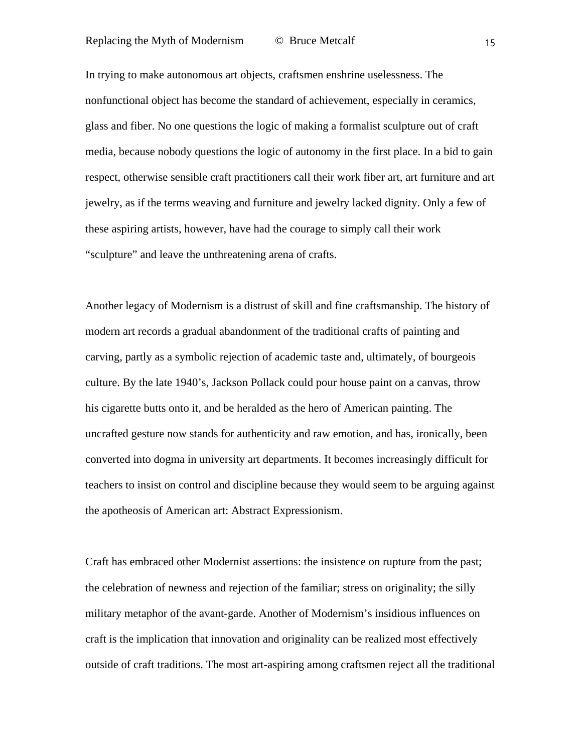In trying to make autonomous art objects, craftsmen enshrine uselessness. The nonfunctional object has become the standard of achievement, especially in ceramics, glass and fiber. No one questions the logic of making a formalist sculpture out of craft media, because nobody questions the logic of autonomy in the first place. In a bid to gain respect, otherwise sensible craft practitioners call their work fiber art, art furniture and art jewelry, as if the terms weaving and furniture and jewelry lacked dignity. Only a few of these aspiring artists, however, have had the courage to simply call their work "sculpture" and leave the unthreatening arena of crafts.

Another legacy of Modernism is a distrust of skill and fine craftsmanship. The history of modern art records a gradual abandonment of the traditional crafts of painting and carving, partly as a symbolic rejection of academic taste and, ultimately, of bourgeois culture. By the late 1940's, Jackson Pollack could pour house paint on a canvas, throw his cigarette butts onto it, and be heralded as the hero of American painting. The uncrafted gesture now stands for authenticity and raw emotion, and has, ironically, been converted into dogma in university art departments. It becomes increasingly difficult for teachers to insist on control and discipline because they would seem to be arguing against the apotheosis of American art: Abstract Expressionism.

Craft has embraced other Modernist assertions: the insistence on rupture from the past; the celebration of newness and rejection of the familiar; stress on originality; the silly military metaphor of the avant-garde. Another of Modernism's insidious influences on craft is the implication that innovation and originality can be realized most effectively outside of craft traditions. The most art-aspiring among craftsmen reject all the traditional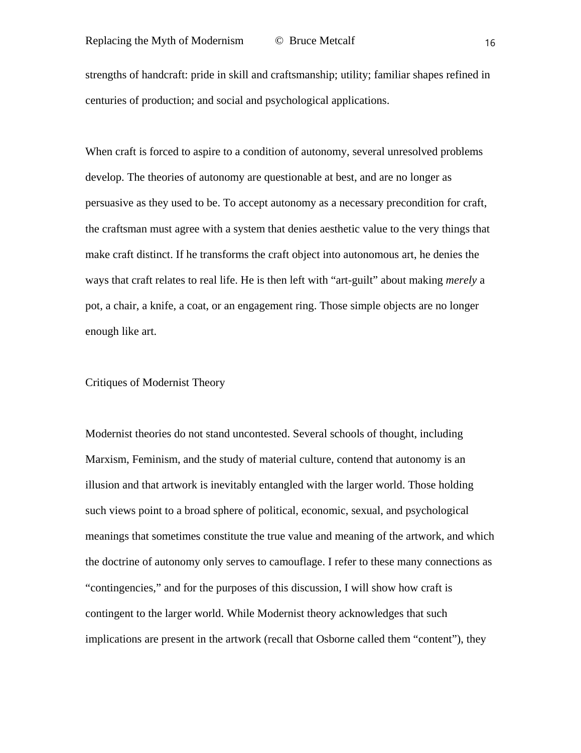strengths of handcraft: pride in skill and craftsmanship; utility; familiar shapes refined in centuries of production; and social and psychological applications.

When craft is forced to aspire to a condition of autonomy, several unresolved problems develop. The theories of autonomy are questionable at best, and are no longer as persuasive as they used to be. To accept autonomy as a necessary precondition for craft, the craftsman must agree with a system that denies aesthetic value to the very things that make craft distinct. If he transforms the craft object into autonomous art, he denies the ways that craft relates to real life. He is then left with "art-guilt" about making *merely* a pot, a chair, a knife, a coat, or an engagement ring. Those simple objects are no longer enough like art.

# Critiques of Modernist Theory

Modernist theories do not stand uncontested. Several schools of thought, including Marxism, Feminism, and the study of material culture, contend that autonomy is an illusion and that artwork is inevitably entangled with the larger world. Those holding such views point to a broad sphere of political, economic, sexual, and psychological meanings that sometimes constitute the true value and meaning of the artwork, and which the doctrine of autonomy only serves to camouflage. I refer to these many connections as "contingencies," and for the purposes of this discussion, I will show how craft is contingent to the larger world. While Modernist theory acknowledges that such implications are present in the artwork (recall that Osborne called them "content"), they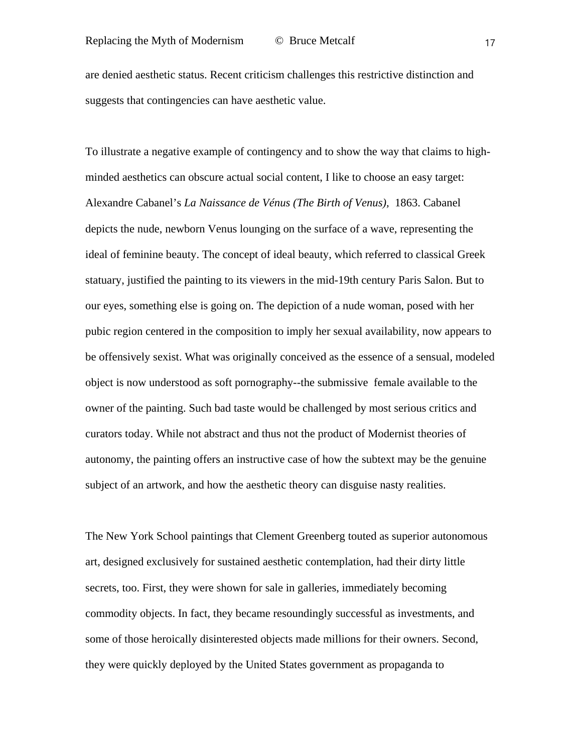are denied aesthetic status. Recent criticism challenges this restrictive distinction and suggests that contingencies can have aesthetic value.

To illustrate a negative example of contingency and to show the way that claims to highminded aesthetics can obscure actual social content, I like to choose an easy target: Alexandre Cabanel's *La Naissance de Vénus (The Birth of Venus),* 1863. Cabanel depicts the nude, newborn Venus lounging on the surface of a wave, representing the ideal of feminine beauty. The concept of ideal beauty, which referred to classical Greek statuary, justified the painting to its viewers in the mid-19th century Paris Salon. But to our eyes, something else is going on. The depiction of a nude woman, posed with her pubic region centered in the composition to imply her sexual availability, now appears to be offensively sexist. What was originally conceived as the essence of a sensual, modeled object is now understood as soft pornography--the submissive female available to the owner of the painting. Such bad taste would be challenged by most serious critics and curators today. While not abstract and thus not the product of Modernist theories of autonomy, the painting offers an instructive case of how the subtext may be the genuine subject of an artwork, and how the aesthetic theory can disguise nasty realities.

The New York School paintings that Clement Greenberg touted as superior autonomous art, designed exclusively for sustained aesthetic contemplation, had their dirty little secrets, too. First, they were shown for sale in galleries, immediately becoming commodity objects. In fact, they became resoundingly successful as investments, and some of those heroically disinterested objects made millions for their owners. Second, they were quickly deployed by the United States government as propaganda to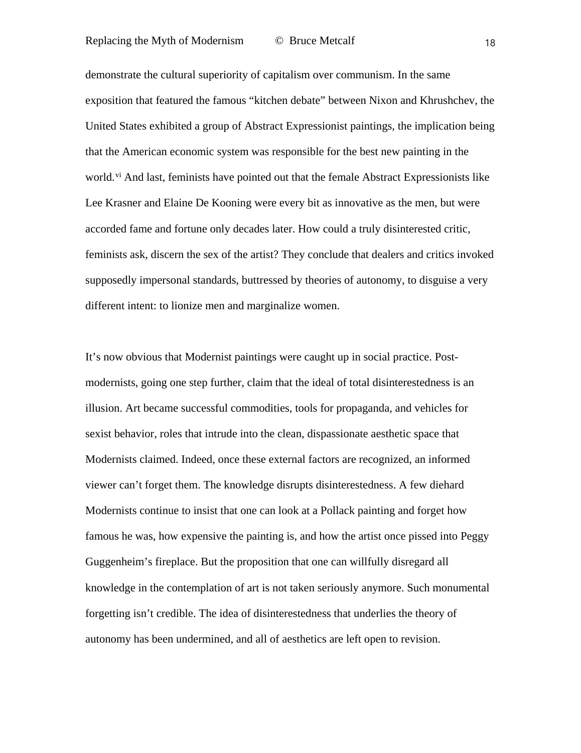demonstrate the cultural superiority of capitalism over communism. In the same exposition that featured the famous "kitchen debate" between Nixon and Khrushchev, the United States exhibited a group of Abstract Expressionist paintings, the implication being that the American economic system was responsible for the best new painting in the world.<sup>[vi](#page-1-5)</sup> And last, feminists have pointed out that the female Abstract Expressionists like Lee Krasner and Elaine De Kooning were every bit as innovative as the men, but were accorded fame and fortune only decades later. How could a truly disinterested critic, feminists ask, discern the sex of the artist? They conclude that dealers and critics invoked supposedly impersonal standards, buttressed by theories of autonomy, to disguise a very different intent: to lionize men and marginalize women.

It's now obvious that Modernist paintings were caught up in social practice. Postmodernists, going one step further, claim that the ideal of total disinterestedness is an illusion. Art became successful commodities, tools for propaganda, and vehicles for sexist behavior, roles that intrude into the clean, dispassionate aesthetic space that Modernists claimed. Indeed, once these external factors are recognized, an informed viewer can't forget them. The knowledge disrupts disinterestedness. A few diehard Modernists continue to insist that one can look at a Pollack painting and forget how famous he was, how expensive the painting is, and how the artist once pissed into Peggy Guggenheim's fireplace. But the proposition that one can willfully disregard all knowledge in the contemplation of art is not taken seriously anymore. Such monumental forgetting isn't credible. The idea of disinterestedness that underlies the theory of autonomy has been undermined, and all of aesthetics are left open to revision.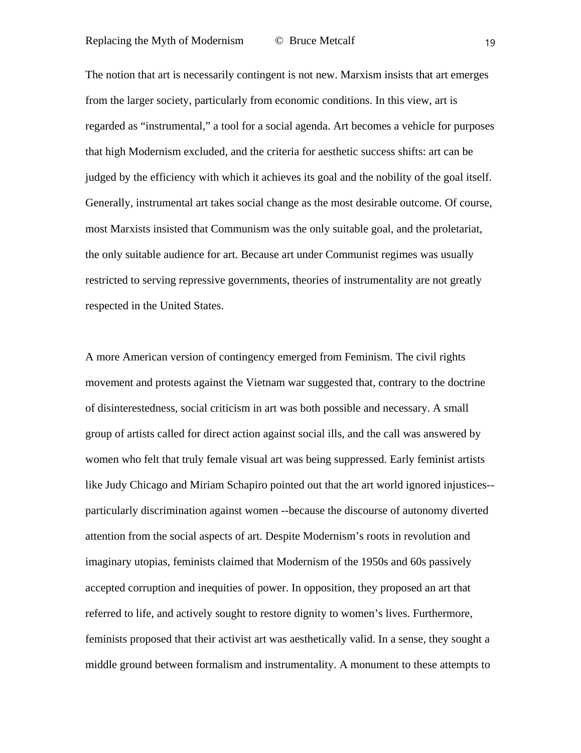The notion that art is necessarily contingent is not new. Marxism insists that art emerges from the larger society, particularly from economic conditions. In this view, art is regarded as "instrumental," a tool for a social agenda. Art becomes a vehicle for purposes that high Modernism excluded, and the criteria for aesthetic success shifts: art can be judged by the efficiency with which it achieves its goal and the nobility of the goal itself. Generally, instrumental art takes social change as the most desirable outcome. Of course, most Marxists insisted that Communism was the only suitable goal, and the proletariat, the only suitable audience for art. Because art under Communist regimes was usually restricted to serving repressive governments, theories of instrumentality are not greatly respected in the United States.

A more American version of contingency emerged from Feminism. The civil rights movement and protests against the Vietnam war suggested that, contrary to the doctrine of disinterestedness, social criticism in art was both possible and necessary. A small group of artists called for direct action against social ills, and the call was answered by women who felt that truly female visual art was being suppressed. Early feminist artists like Judy Chicago and Miriam Schapiro pointed out that the art world ignored injustices- particularly discrimination against women --because the discourse of autonomy diverted attention from the social aspects of art. Despite Modernism's roots in revolution and imaginary utopias, feminists claimed that Modernism of the 1950s and 60s passively accepted corruption and inequities of power. In opposition, they proposed an art that referred to life, and actively sought to restore dignity to women's lives. Furthermore, feminists proposed that their activist art was aesthetically valid. In a sense, they sought a middle ground between formalism and instrumentality. A monument to these attempts to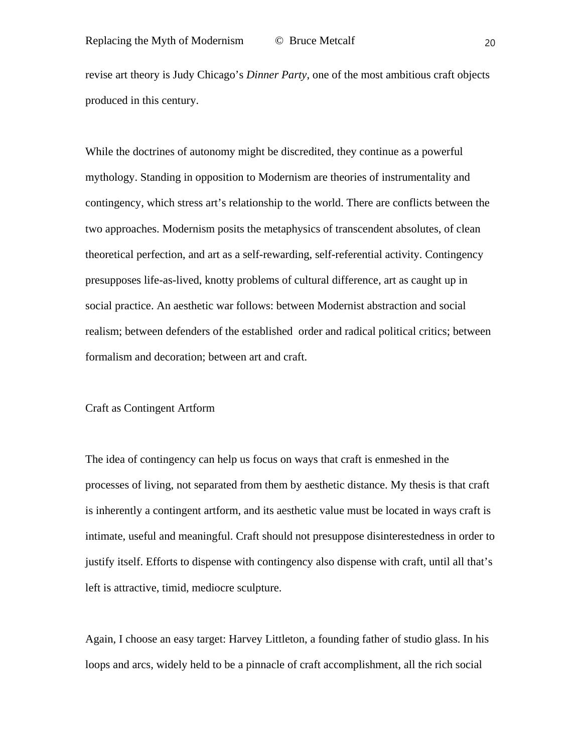revise art theory is Judy Chicago's *Dinner Party*, one of the most ambitious craft objects produced in this century.

While the doctrines of autonomy might be discredited, they continue as a powerful mythology. Standing in opposition to Modernism are theories of instrumentality and contingency, which stress art's relationship to the world. There are conflicts between the two approaches. Modernism posits the metaphysics of transcendent absolutes, of clean theoretical perfection, and art as a self-rewarding, self-referential activity. Contingency presupposes life-as-lived, knotty problems of cultural difference, art as caught up in social practice. An aesthetic war follows: between Modernist abstraction and social realism; between defenders of the established order and radical political critics; between formalism and decoration; between art and craft.

### Craft as Contingent Artform

The idea of contingency can help us focus on ways that craft is enmeshed in the processes of living, not separated from them by aesthetic distance. My thesis is that craft is inherently a contingent artform, and its aesthetic value must be located in ways craft is intimate, useful and meaningful. Craft should not presuppose disinterestedness in order to justify itself. Efforts to dispense with contingency also dispense with craft, until all that's left is attractive, timid, mediocre sculpture.

Again, I choose an easy target: Harvey Littleton, a founding father of studio glass. In his loops and arcs, widely held to be a pinnacle of craft accomplishment, all the rich social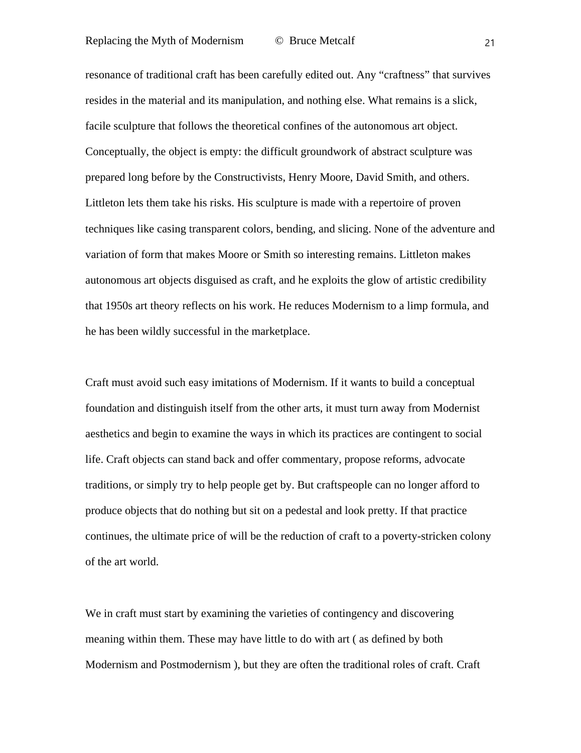resonance of traditional craft has been carefully edited out. Any "craftness" that survives resides in the material and its manipulation, and nothing else. What remains is a slick, facile sculpture that follows the theoretical confines of the autonomous art object. Conceptually, the object is empty: the difficult groundwork of abstract sculpture was prepared long before by the Constructivists, Henry Moore, David Smith, and others. Littleton lets them take his risks. His sculpture is made with a repertoire of proven techniques like casing transparent colors, bending, and slicing. None of the adventure and variation of form that makes Moore or Smith so interesting remains. Littleton makes autonomous art objects disguised as craft, and he exploits the glow of artistic credibility that 1950s art theory reflects on his work. He reduces Modernism to a limp formula, and he has been wildly successful in the marketplace.

Craft must avoid such easy imitations of Modernism. If it wants to build a conceptual foundation and distinguish itself from the other arts, it must turn away from Modernist aesthetics and begin to examine the ways in which its practices are contingent to social life. Craft objects can stand back and offer commentary, propose reforms, advocate traditions, or simply try to help people get by. But craftspeople can no longer afford to produce objects that do nothing but sit on a pedestal and look pretty. If that practice continues, the ultimate price of will be the reduction of craft to a poverty-stricken colony of the art world.

We in craft must start by examining the varieties of contingency and discovering meaning within them. These may have little to do with art ( as defined by both Modernism and Postmodernism ), but they are often the traditional roles of craft. Craft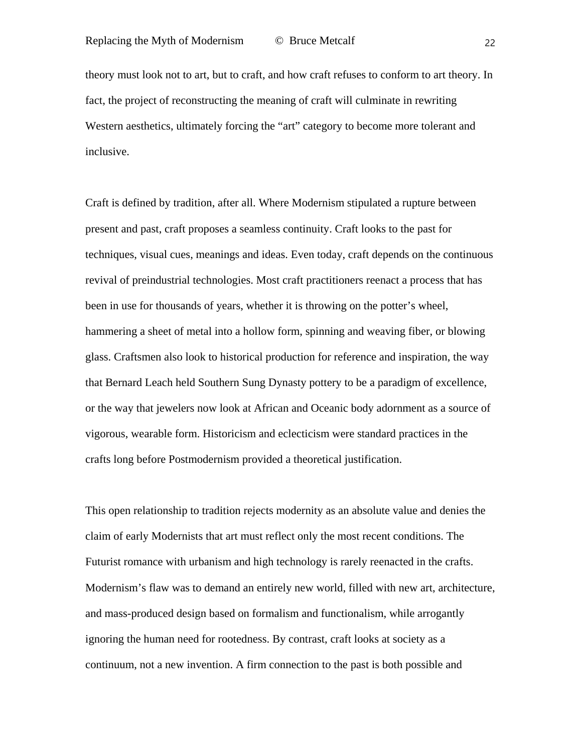theory must look not to art, but to craft, and how craft refuses to conform to art theory. In fact, the project of reconstructing the meaning of craft will culminate in rewriting Western aesthetics, ultimately forcing the "art" category to become more tolerant and inclusive.

Craft is defined by tradition, after all. Where Modernism stipulated a rupture between present and past, craft proposes a seamless continuity. Craft looks to the past for techniques, visual cues, meanings and ideas. Even today, craft depends on the continuous revival of preindustrial technologies. Most craft practitioners reenact a process that has been in use for thousands of years, whether it is throwing on the potter's wheel, hammering a sheet of metal into a hollow form, spinning and weaving fiber, or blowing glass. Craftsmen also look to historical production for reference and inspiration, the way that Bernard Leach held Southern Sung Dynasty pottery to be a paradigm of excellence, or the way that jewelers now look at African and Oceanic body adornment as a source of vigorous, wearable form. Historicism and eclecticism were standard practices in the crafts long before Postmodernism provided a theoretical justification.

This open relationship to tradition rejects modernity as an absolute value and denies the claim of early Modernists that art must reflect only the most recent conditions. The Futurist romance with urbanism and high technology is rarely reenacted in the crafts. Modernism's flaw was to demand an entirely new world, filled with new art, architecture, and mass-produced design based on formalism and functionalism, while arrogantly ignoring the human need for rootedness. By contrast, craft looks at society as a continuum, not a new invention. A firm connection to the past is both possible and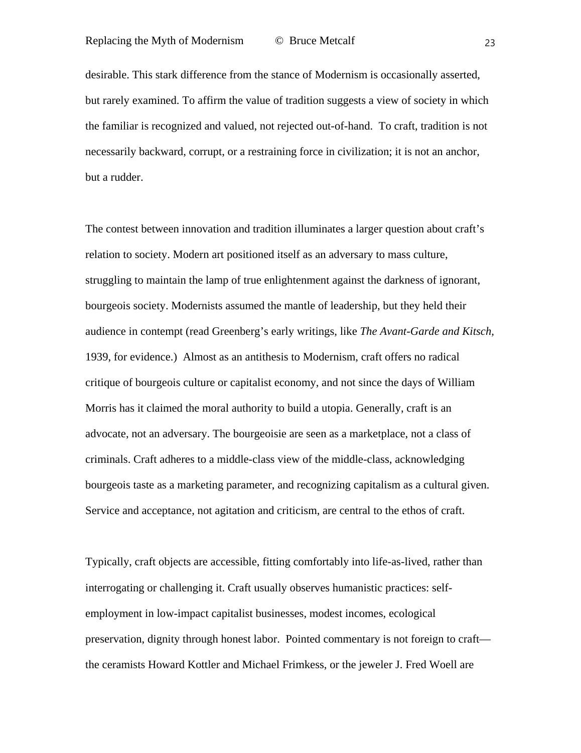desirable. This stark difference from the stance of Modernism is occasionally asserted, but rarely examined. To affirm the value of tradition suggests a view of society in which the familiar is recognized and valued, not rejected out-of-hand. To craft, tradition is not necessarily backward, corrupt, or a restraining force in civilization; it is not an anchor, but a rudder.

The contest between innovation and tradition illuminates a larger question about craft's relation to society. Modern art positioned itself as an adversary to mass culture, struggling to maintain the lamp of true enlightenment against the darkness of ignorant, bourgeois society. Modernists assumed the mantle of leadership, but they held their audience in contempt (read Greenberg's early writings, like *The Avant-Garde and Kitsch,* 1939, for evidence.) Almost as an antithesis to Modernism, craft offers no radical critique of bourgeois culture or capitalist economy, and not since the days of William Morris has it claimed the moral authority to build a utopia. Generally, craft is an advocate, not an adversary. The bourgeoisie are seen as a marketplace, not a class of criminals. Craft adheres to a middle-class view of the middle-class, acknowledging bourgeois taste as a marketing parameter, and recognizing capitalism as a cultural given. Service and acceptance, not agitation and criticism, are central to the ethos of craft.

Typically, craft objects are accessible, fitting comfortably into life-as-lived, rather than interrogating or challenging it. Craft usually observes humanistic practices: selfemployment in low-impact capitalist businesses, modest incomes, ecological preservation, dignity through honest labor. Pointed commentary is not foreign to craft the ceramists Howard Kottler and Michael Frimkess, or the jeweler J. Fred Woell are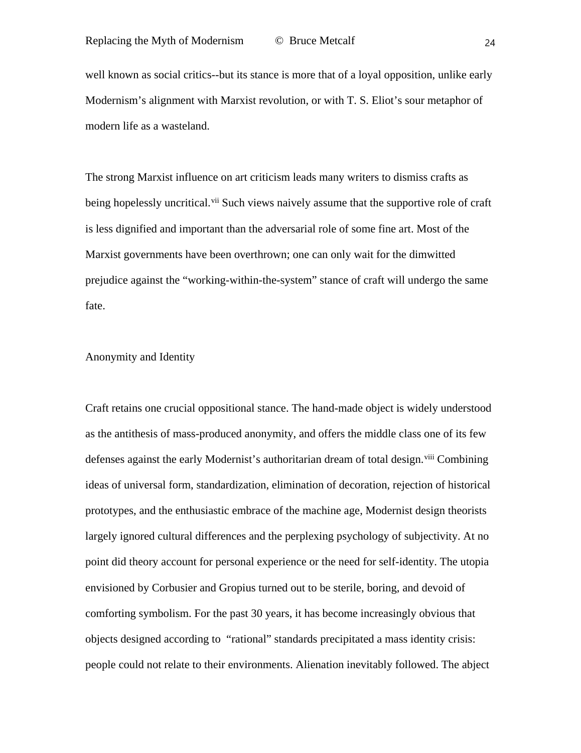well known as social critics--but its stance is more that of a loyal opposition, unlike early Modernism's alignment with Marxist revolution, or with T. S. Eliot's sour metaphor of modern life as a wasteland.

The strong Marxist influence on art criticism leads many writers to dismiss crafts as being hopelessly uncritical.<sup>[vii](#page-2-0)</sup> Such views naively assume that the supportive role of craft is less dignified and important than the adversarial role of some fine art. Most of the Marxist governments have been overthrown; one can only wait for the dimwitted prejudice against the "working-within-the-system" stance of craft will undergo the same fate.

### Anonymity and Identity

Craft retains one crucial oppositional stance. The hand-made object is widely understood as the antithesis of mass-produced anonymity, and offers the middle class one of its few defenses against the early Modernist's authoritarian dream of total design.<sup>[viii](#page-2-1)</sup> Combining ideas of universal form, standardization, elimination of decoration, rejection of historical prototypes, and the enthusiastic embrace of the machine age, Modernist design theorists largely ignored cultural differences and the perplexing psychology of subjectivity. At no point did theory account for personal experience or the need for self-identity. The utopia envisioned by Corbusier and Gropius turned out to be sterile, boring, and devoid of comforting symbolism. For the past 30 years, it has become increasingly obvious that objects designed according to "rational" standards precipitated a mass identity crisis: people could not relate to their environments. Alienation inevitably followed. The abject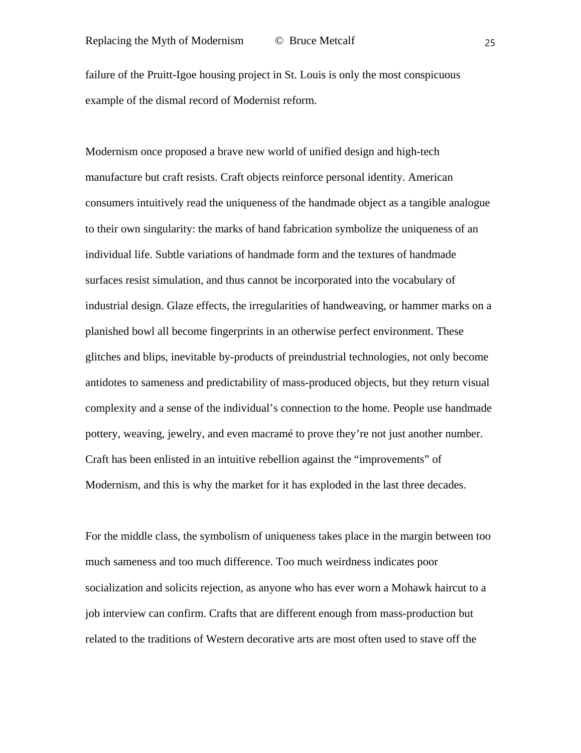failure of the Pruitt-Igoe housing project in St. Louis is only the most conspicuous example of the dismal record of Modernist reform.

Modernism once proposed a brave new world of unified design and high-tech manufacture but craft resists. Craft objects reinforce personal identity. American consumers intuitively read the uniqueness of the handmade object as a tangible analogue to their own singularity: the marks of hand fabrication symbolize the uniqueness of an individual life. Subtle variations of handmade form and the textures of handmade surfaces resist simulation, and thus cannot be incorporated into the vocabulary of industrial design. Glaze effects, the irregularities of handweaving, or hammer marks on a planished bowl all become fingerprints in an otherwise perfect environment. These glitches and blips, inevitable by-products of preindustrial technologies, not only become antidotes to sameness and predictability of mass-produced objects, but they return visual complexity and a sense of the individual's connection to the home. People use handmade pottery, weaving, jewelry, and even macramé to prove they're not just another number. Craft has been enlisted in an intuitive rebellion against the "improvements" of Modernism, and this is why the market for it has exploded in the last three decades.

For the middle class, the symbolism of uniqueness takes place in the margin between too much sameness and too much difference. Too much weirdness indicates poor socialization and solicits rejection, as anyone who has ever worn a Mohawk haircut to a job interview can confirm. Crafts that are different enough from mass-production but related to the traditions of Western decorative arts are most often used to stave off the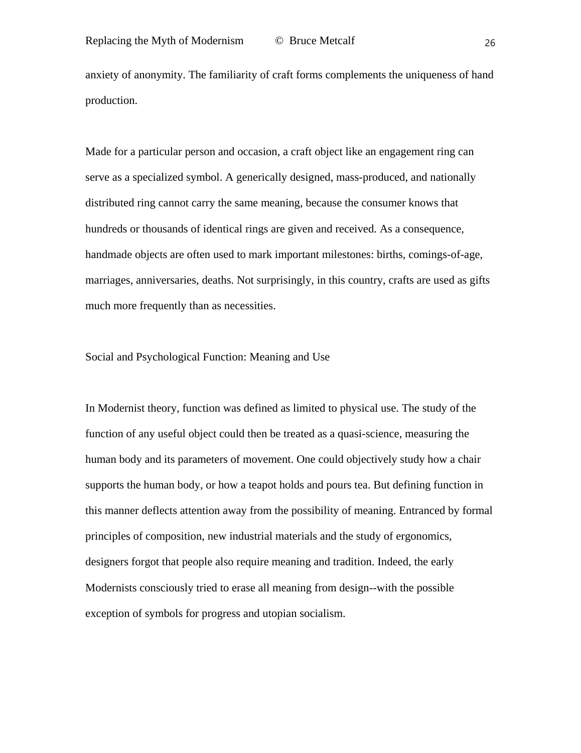anxiety of anonymity. The familiarity of craft forms complements the uniqueness of hand production.

Made for a particular person and occasion, a craft object like an engagement ring can serve as a specialized symbol. A generically designed, mass-produced, and nationally distributed ring cannot carry the same meaning, because the consumer knows that hundreds or thousands of identical rings are given and received. As a consequence, handmade objects are often used to mark important milestones: births, comings-of-age, marriages, anniversaries, deaths. Not surprisingly, in this country, crafts are used as gifts much more frequently than as necessities.

Social and Psychological Function: Meaning and Use

In Modernist theory, function was defined as limited to physical use. The study of the function of any useful object could then be treated as a quasi-science, measuring the human body and its parameters of movement. One could objectively study how a chair supports the human body, or how a teapot holds and pours tea. But defining function in this manner deflects attention away from the possibility of meaning. Entranced by formal principles of composition, new industrial materials and the study of ergonomics, designers forgot that people also require meaning and tradition. Indeed, the early Modernists consciously tried to erase all meaning from design--with the possible exception of symbols for progress and utopian socialism.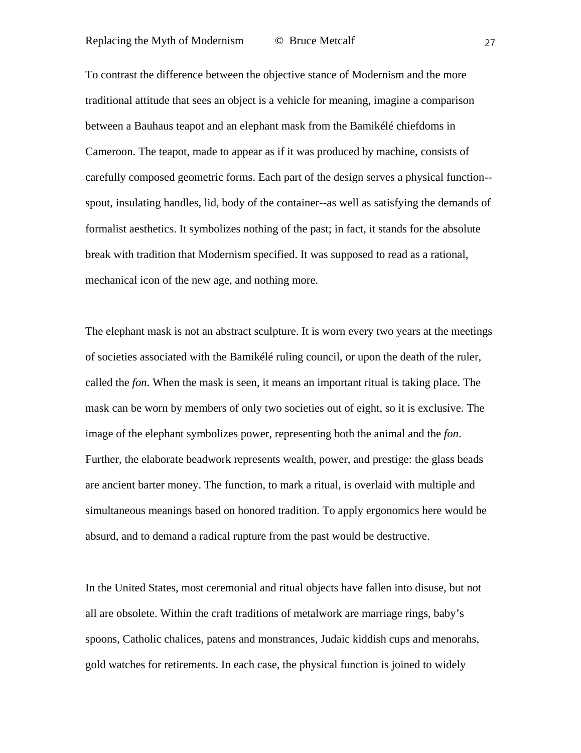To contrast the difference between the objective stance of Modernism and the more traditional attitude that sees an object is a vehicle for meaning, imagine a comparison between a Bauhaus teapot and an elephant mask from the Bamikélé chiefdoms in Cameroon. The teapot, made to appear as if it was produced by machine, consists of carefully composed geometric forms. Each part of the design serves a physical function- spout, insulating handles, lid, body of the container--as well as satisfying the demands of formalist aesthetics. It symbolizes nothing of the past; in fact, it stands for the absolute break with tradition that Modernism specified. It was supposed to read as a rational, mechanical icon of the new age, and nothing more.

The elephant mask is not an abstract sculpture. It is worn every two years at the meetings of societies associated with the Bamikélé ruling council, or upon the death of the ruler, called the *fon*. When the mask is seen, it means an important ritual is taking place. The mask can be worn by members of only two societies out of eight, so it is exclusive. The image of the elephant symbolizes power, representing both the animal and the *fon*. Further, the elaborate beadwork represents wealth, power, and prestige: the glass beads are ancient barter money. The function, to mark a ritual, is overlaid with multiple and simultaneous meanings based on honored tradition. To apply ergonomics here would be absurd, and to demand a radical rupture from the past would be destructive.

In the United States, most ceremonial and ritual objects have fallen into disuse, but not all are obsolete. Within the craft traditions of metalwork are marriage rings, baby's spoons, Catholic chalices, patens and monstrances, Judaic kiddish cups and menorahs, gold watches for retirements. In each case, the physical function is joined to widely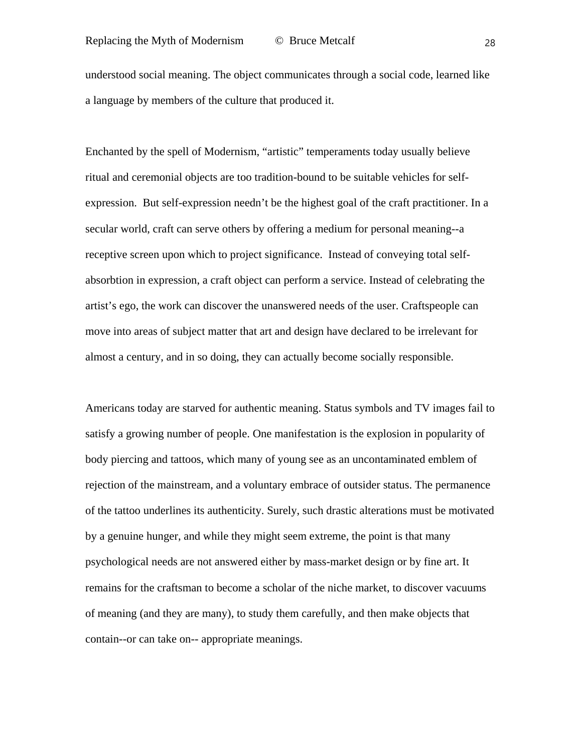understood social meaning. The object communicates through a social code, learned like a language by members of the culture that produced it.

Enchanted by the spell of Modernism, "artistic" temperaments today usually believe ritual and ceremonial objects are too tradition-bound to be suitable vehicles for selfexpression. But self-expression needn't be the highest goal of the craft practitioner. In a secular world, craft can serve others by offering a medium for personal meaning--a receptive screen upon which to project significance. Instead of conveying total selfabsorbtion in expression, a craft object can perform a service. Instead of celebrating the artist's ego, the work can discover the unanswered needs of the user. Craftspeople can move into areas of subject matter that art and design have declared to be irrelevant for almost a century, and in so doing, they can actually become socially responsible.

Americans today are starved for authentic meaning. Status symbols and TV images fail to satisfy a growing number of people. One manifestation is the explosion in popularity of body piercing and tattoos, which many of young see as an uncontaminated emblem of rejection of the mainstream, and a voluntary embrace of outsider status. The permanence of the tattoo underlines its authenticity. Surely, such drastic alterations must be motivated by a genuine hunger, and while they might seem extreme, the point is that many psychological needs are not answered either by mass-market design or by fine art. It remains for the craftsman to become a scholar of the niche market, to discover vacuums of meaning (and they are many), to study them carefully, and then make objects that contain--or can take on-- appropriate meanings.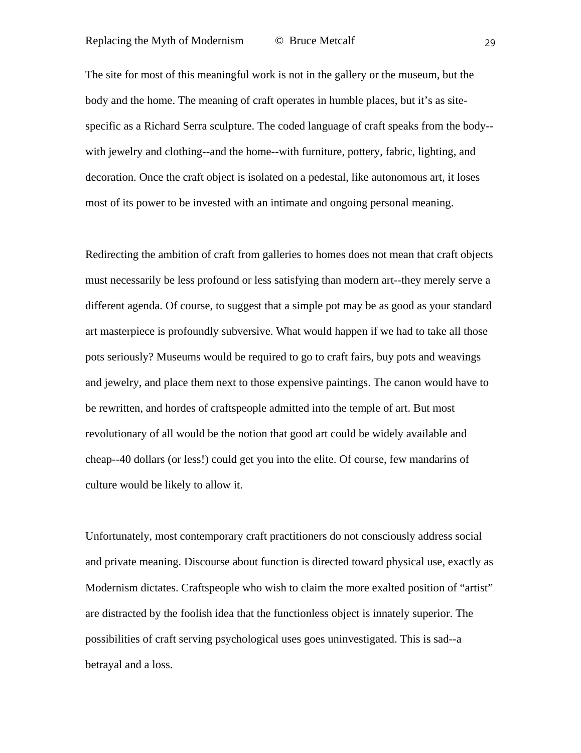The site for most of this meaningful work is not in the gallery or the museum, but the body and the home. The meaning of craft operates in humble places, but it's as sitespecific as a Richard Serra sculpture. The coded language of craft speaks from the body- with jewelry and clothing--and the home--with furniture, pottery, fabric, lighting, and decoration. Once the craft object is isolated on a pedestal, like autonomous art, it loses most of its power to be invested with an intimate and ongoing personal meaning.

Redirecting the ambition of craft from galleries to homes does not mean that craft objects must necessarily be less profound or less satisfying than modern art--they merely serve a different agenda. Of course, to suggest that a simple pot may be as good as your standard art masterpiece is profoundly subversive. What would happen if we had to take all those pots seriously? Museums would be required to go to craft fairs, buy pots and weavings and jewelry, and place them next to those expensive paintings. The canon would have to be rewritten, and hordes of craftspeople admitted into the temple of art. But most revolutionary of all would be the notion that good art could be widely available and cheap--40 dollars (or less!) could get you into the elite. Of course, few mandarins of culture would be likely to allow it.

Unfortunately, most contemporary craft practitioners do not consciously address social and private meaning. Discourse about function is directed toward physical use, exactly as Modernism dictates. Craftspeople who wish to claim the more exalted position of "artist" are distracted by the foolish idea that the functionless object is innately superior. The possibilities of craft serving psychological uses goes uninvestigated. This is sad--a betrayal and a loss.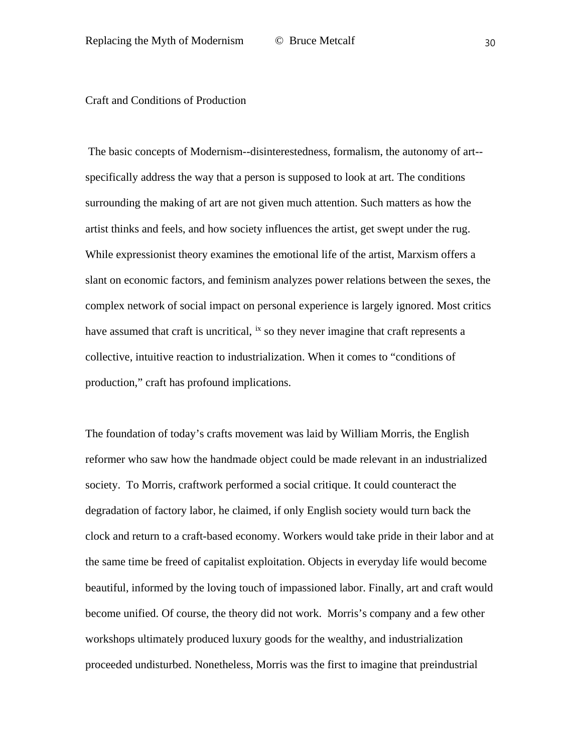### Craft and Conditions of Production

The basic concepts of Modernism--disinterestedness, formalism, the autonomy of art- specifically address the way that a person is supposed to look at art. The conditions surrounding the making of art are not given much attention. Such matters as how the artist thinks and feels, and how society influences the artist, get swept under the rug. While expressionist theory examines the emotional life of the artist, Marxism offers a slant on economic factors, and feminism analyzes power relations between the sexes, the complex network of social impact on personal experience is largely ignored. Most critics have assumed that craft is uncritical, <sup>[ix](#page-2-2)</sup> so they never imagine that craft represents a collective, intuitive reaction to industrialization. When it comes to "conditions of production," craft has profound implications.

The foundation of today's crafts movement was laid by William Morris, the English reformer who saw how the handmade object could be made relevant in an industrialized society. To Morris, craftwork performed a social critique. It could counteract the degradation of factory labor, he claimed, if only English society would turn back the clock and return to a craft-based economy. Workers would take pride in their labor and at the same time be freed of capitalist exploitation. Objects in everyday life would become beautiful, informed by the loving touch of impassioned labor. Finally, art and craft would become unified. Of course, the theory did not work. Morris's company and a few other workshops ultimately produced luxury goods for the wealthy, and industrialization proceeded undisturbed. Nonetheless, Morris was the first to imagine that preindustrial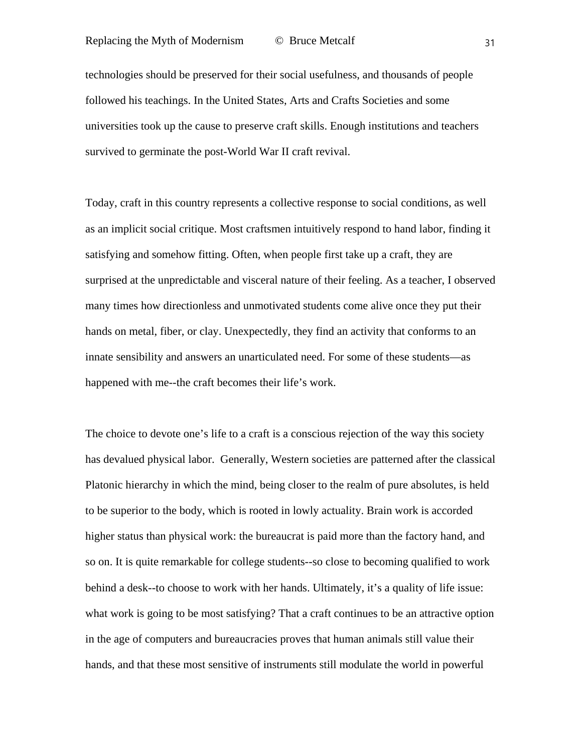technologies should be preserved for their social usefulness, and thousands of people followed his teachings. In the United States, Arts and Crafts Societies and some universities took up the cause to preserve craft skills. Enough institutions and teachers survived to germinate the post-World War II craft revival.

Today, craft in this country represents a collective response to social conditions, as well as an implicit social critique. Most craftsmen intuitively respond to hand labor, finding it satisfying and somehow fitting. Often, when people first take up a craft, they are surprised at the unpredictable and visceral nature of their feeling. As a teacher, I observed many times how directionless and unmotivated students come alive once they put their hands on metal, fiber, or clay. Unexpectedly, they find an activity that conforms to an innate sensibility and answers an unarticulated need. For some of these students—as happened with me--the craft becomes their life's work.

The choice to devote one's life to a craft is a conscious rejection of the way this society has devalued physical labor. Generally, Western societies are patterned after the classical Platonic hierarchy in which the mind, being closer to the realm of pure absolutes, is held to be superior to the body, which is rooted in lowly actuality. Brain work is accorded higher status than physical work: the bureaucrat is paid more than the factory hand, and so on. It is quite remarkable for college students--so close to becoming qualified to work behind a desk--to choose to work with her hands. Ultimately, it's a quality of life issue: what work is going to be most satisfying? That a craft continues to be an attractive option in the age of computers and bureaucracies proves that human animals still value their hands, and that these most sensitive of instruments still modulate the world in powerful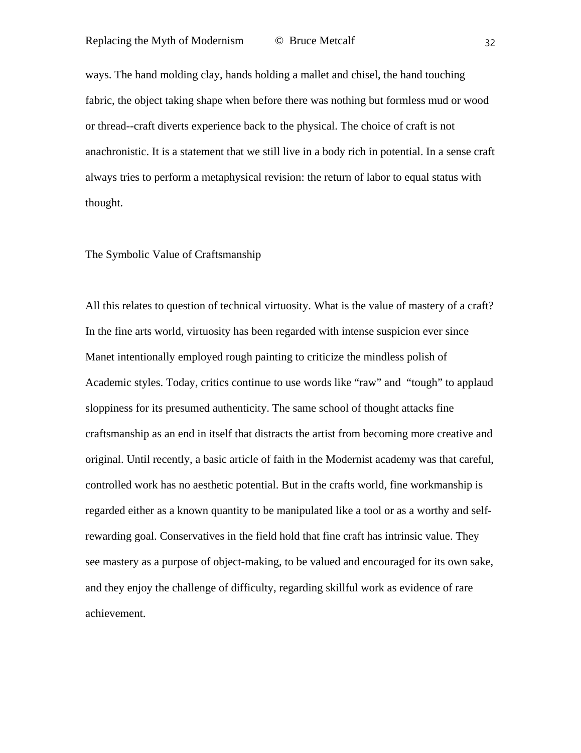ways. The hand molding clay, hands holding a mallet and chisel, the hand touching fabric, the object taking shape when before there was nothing but formless mud or wood or thread--craft diverts experience back to the physical. The choice of craft is not anachronistic. It is a statement that we still live in a body rich in potential. In a sense craft always tries to perform a metaphysical revision: the return of labor to equal status with thought.

### The Symbolic Value of Craftsmanship

All this relates to question of technical virtuosity. What is the value of mastery of a craft? In the fine arts world, virtuosity has been regarded with intense suspicion ever since Manet intentionally employed rough painting to criticize the mindless polish of Academic styles. Today, critics continue to use words like "raw" and "tough" to applaud sloppiness for its presumed authenticity. The same school of thought attacks fine craftsmanship as an end in itself that distracts the artist from becoming more creative and original. Until recently, a basic article of faith in the Modernist academy was that careful, controlled work has no aesthetic potential. But in the crafts world, fine workmanship is regarded either as a known quantity to be manipulated like a tool or as a worthy and selfrewarding goal. Conservatives in the field hold that fine craft has intrinsic value. They see mastery as a purpose of object-making, to be valued and encouraged for its own sake, and they enjoy the challenge of difficulty, regarding skillful work as evidence of rare achievement.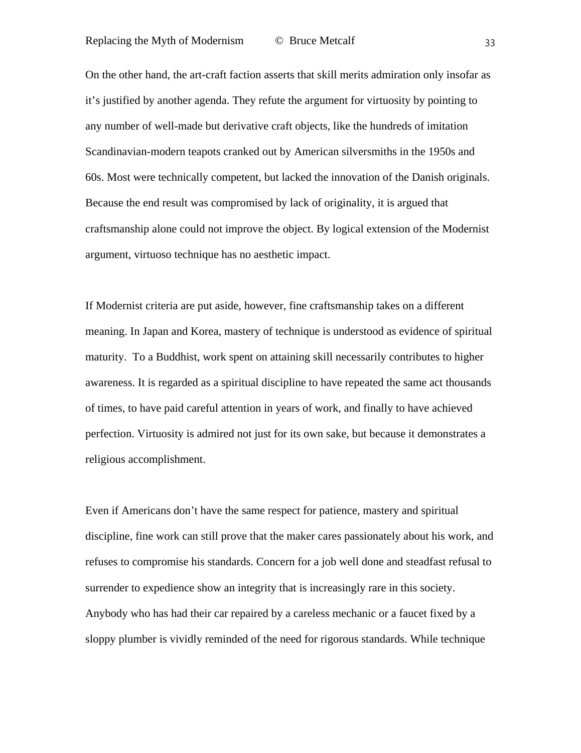On the other hand, the art-craft faction asserts that skill merits admiration only insofar as it's justified by another agenda. They refute the argument for virtuosity by pointing to any number of well-made but derivative craft objects, like the hundreds of imitation Scandinavian-modern teapots cranked out by American silversmiths in the 1950s and 60s. Most were technically competent, but lacked the innovation of the Danish originals. Because the end result was compromised by lack of originality, it is argued that craftsmanship alone could not improve the object. By logical extension of the Modernist argument, virtuoso technique has no aesthetic impact.

If Modernist criteria are put aside, however, fine craftsmanship takes on a different meaning. In Japan and Korea, mastery of technique is understood as evidence of spiritual maturity. To a Buddhist, work spent on attaining skill necessarily contributes to higher awareness. It is regarded as a spiritual discipline to have repeated the same act thousands of times, to have paid careful attention in years of work, and finally to have achieved perfection. Virtuosity is admired not just for its own sake, but because it demonstrates a religious accomplishment.

Even if Americans don't have the same respect for patience, mastery and spiritual discipline, fine work can still prove that the maker cares passionately about his work, and refuses to compromise his standards. Concern for a job well done and steadfast refusal to surrender to expedience show an integrity that is increasingly rare in this society. Anybody who has had their car repaired by a careless mechanic or a faucet fixed by a sloppy plumber is vividly reminded of the need for rigorous standards. While technique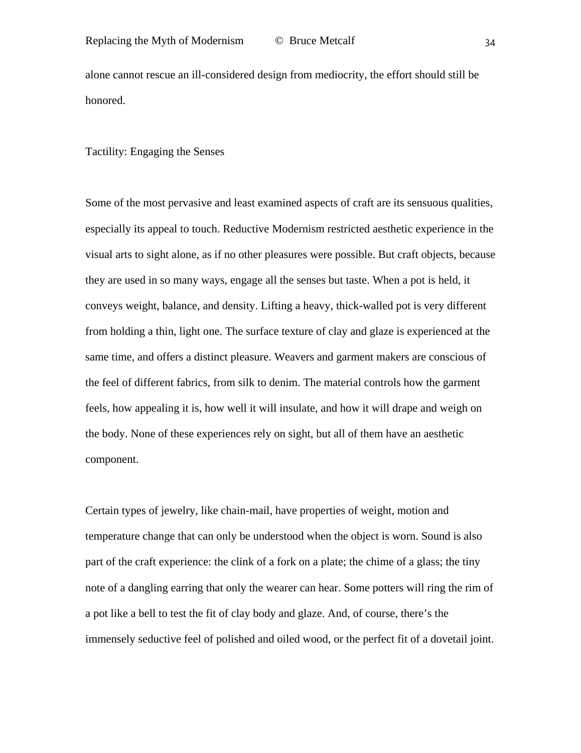alone cannot rescue an ill-considered design from mediocrity, the effort should still be honored.

### Tactility: Engaging the Senses

Some of the most pervasive and least examined aspects of craft are its sensuous qualities, especially its appeal to touch. Reductive Modernism restricted aesthetic experience in the visual arts to sight alone, as if no other pleasures were possible. But craft objects, because they are used in so many ways, engage all the senses but taste. When a pot is held, it conveys weight, balance, and density. Lifting a heavy, thick-walled pot is very different from holding a thin, light one. The surface texture of clay and glaze is experienced at the same time, and offers a distinct pleasure. Weavers and garment makers are conscious of the feel of different fabrics, from silk to denim. The material controls how the garment feels, how appealing it is, how well it will insulate, and how it will drape and weigh on the body. None of these experiences rely on sight, but all of them have an aesthetic component.

Certain types of jewelry, like chain-mail, have properties of weight, motion and temperature change that can only be understood when the object is worn. Sound is also part of the craft experience: the clink of a fork on a plate; the chime of a glass; the tiny note of a dangling earring that only the wearer can hear. Some potters will ring the rim of a pot like a bell to test the fit of clay body and glaze. And, of course, there's the immensely seductive feel of polished and oiled wood, or the perfect fit of a dovetail joint.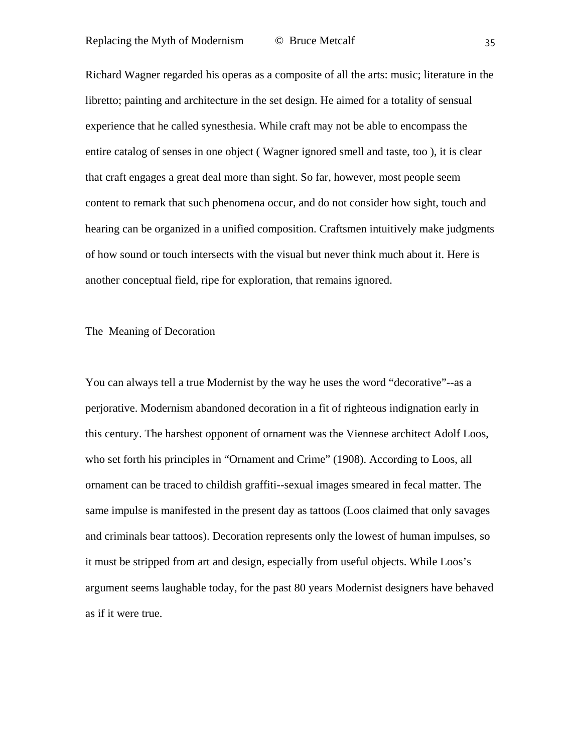Richard Wagner regarded his operas as a composite of all the arts: music; literature in the libretto; painting and architecture in the set design. He aimed for a totality of sensual experience that he called synesthesia. While craft may not be able to encompass the entire catalog of senses in one object ( Wagner ignored smell and taste, too ), it is clear that craft engages a great deal more than sight. So far, however, most people seem content to remark that such phenomena occur, and do not consider how sight, touch and hearing can be organized in a unified composition. Craftsmen intuitively make judgments of how sound or touch intersects with the visual but never think much about it. Here is another conceptual field, ripe for exploration, that remains ignored.

# The Meaning of Decoration

You can always tell a true Modernist by the way he uses the word "decorative"--as a perjorative. Modernism abandoned decoration in a fit of righteous indignation early in this century. The harshest opponent of ornament was the Viennese architect Adolf Loos, who set forth his principles in "Ornament and Crime" (1908). According to Loos, all ornament can be traced to childish graffiti--sexual images smeared in fecal matter. The same impulse is manifested in the present day as tattoos (Loos claimed that only savages and criminals bear tattoos). Decoration represents only the lowest of human impulses, so it must be stripped from art and design, especially from useful objects. While Loos's argument seems laughable today, for the past 80 years Modernist designers have behaved as if it were true.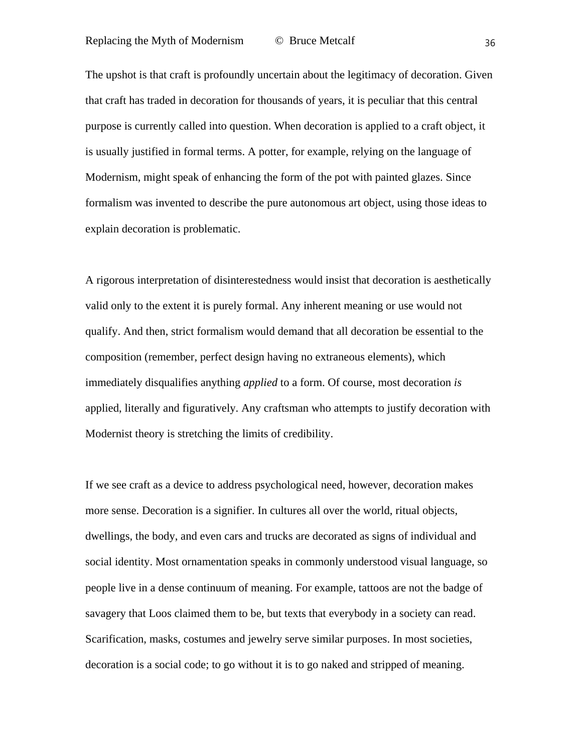The upshot is that craft is profoundly uncertain about the legitimacy of decoration. Given that craft has traded in decoration for thousands of years, it is peculiar that this central purpose is currently called into question. When decoration is applied to a craft object, it is usually justified in formal terms. A potter, for example, relying on the language of Modernism, might speak of enhancing the form of the pot with painted glazes. Since formalism was invented to describe the pure autonomous art object, using those ideas to explain decoration is problematic.

A rigorous interpretation of disinterestedness would insist that decoration is aesthetically valid only to the extent it is purely formal. Any inherent meaning or use would not qualify. And then, strict formalism would demand that all decoration be essential to the composition (remember, perfect design having no extraneous elements), which immediately disqualifies anything *applied* to a form. Of course, most decoration *is* applied, literally and figuratively. Any craftsman who attempts to justify decoration with Modernist theory is stretching the limits of credibility.

If we see craft as a device to address psychological need, however, decoration makes more sense. Decoration is a signifier. In cultures all over the world, ritual objects, dwellings, the body, and even cars and trucks are decorated as signs of individual and social identity. Most ornamentation speaks in commonly understood visual language, so people live in a dense continuum of meaning. For example, tattoos are not the badge of savagery that Loos claimed them to be, but texts that everybody in a society can read. Scarification, masks, costumes and jewelry serve similar purposes. In most societies, decoration is a social code; to go without it is to go naked and stripped of meaning.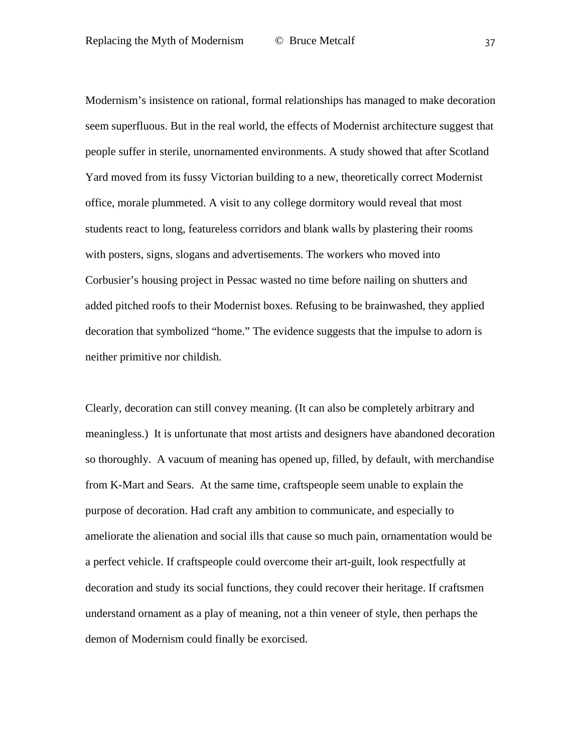Modernism's insistence on rational, formal relationships has managed to make decoration seem superfluous. But in the real world, the effects of Modernist architecture suggest that people suffer in sterile, unornamented environments. A study showed that after Scotland Yard moved from its fussy Victorian building to a new, theoretically correct Modernist office, morale plummeted. A visit to any college dormitory would reveal that most students react to long, featureless corridors and blank walls by plastering their rooms with posters, signs, slogans and advertisements. The workers who moved into Corbusier's housing project in Pessac wasted no time before nailing on shutters and added pitched roofs to their Modernist boxes. Refusing to be brainwashed, they applied decoration that symbolized "home." The evidence suggests that the impulse to adorn is neither primitive nor childish.

Clearly, decoration can still convey meaning. (It can also be completely arbitrary and meaningless.) It is unfortunate that most artists and designers have abandoned decoration so thoroughly. A vacuum of meaning has opened up, filled, by default, with merchandise from K-Mart and Sears. At the same time, craftspeople seem unable to explain the purpose of decoration. Had craft any ambition to communicate, and especially to ameliorate the alienation and social ills that cause so much pain, ornamentation would be a perfect vehicle. If craftspeople could overcome their art-guilt, look respectfully at decoration and study its social functions, they could recover their heritage. If craftsmen understand ornament as a play of meaning, not a thin veneer of style, then perhaps the demon of Modernism could finally be exorcised.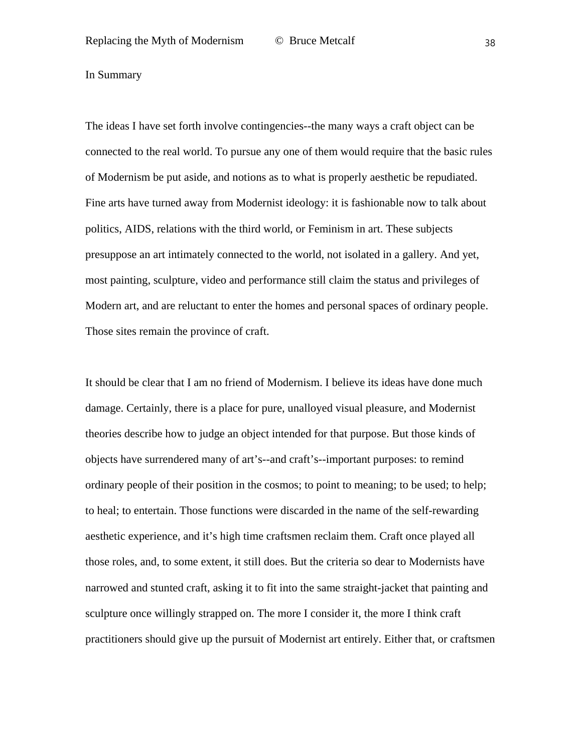In Summary

The ideas I have set forth involve contingencies--the many ways a craft object can be connected to the real world. To pursue any one of them would require that the basic rules of Modernism be put aside, and notions as to what is properly aesthetic be repudiated. Fine arts have turned away from Modernist ideology: it is fashionable now to talk about politics, AIDS, relations with the third world, or Feminism in art. These subjects presuppose an art intimately connected to the world, not isolated in a gallery. And yet, most painting, sculpture, video and performance still claim the status and privileges of Modern art, and are reluctant to enter the homes and personal spaces of ordinary people. Those sites remain the province of craft.

It should be clear that I am no friend of Modernism. I believe its ideas have done much damage. Certainly, there is a place for pure, unalloyed visual pleasure, and Modernist theories describe how to judge an object intended for that purpose. But those kinds of objects have surrendered many of art's--and craft's--important purposes: to remind ordinary people of their position in the cosmos; to point to meaning; to be used; to help; to heal; to entertain. Those functions were discarded in the name of the self-rewarding aesthetic experience, and it's high time craftsmen reclaim them. Craft once played all those roles, and, to some extent, it still does. But the criteria so dear to Modernists have narrowed and stunted craft, asking it to fit into the same straight-jacket that painting and sculpture once willingly strapped on. The more I consider it, the more I think craft practitioners should give up the pursuit of Modernist art entirely. Either that, or craftsmen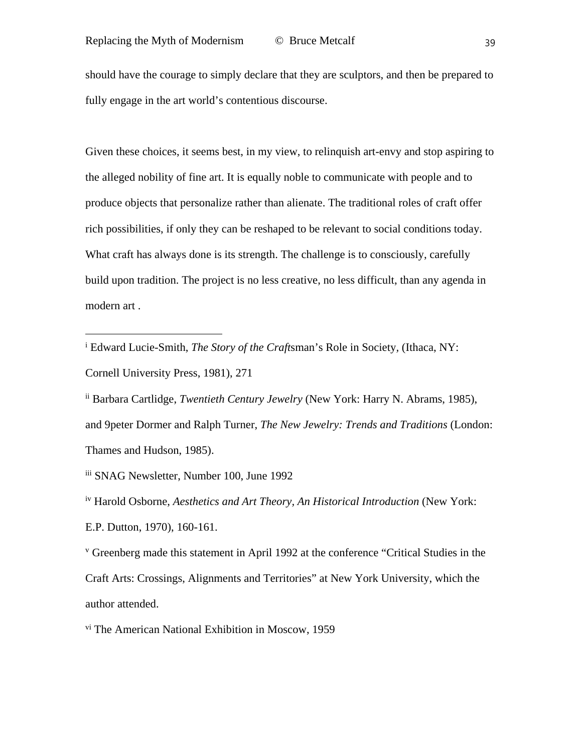should have the courage to simply declare that they are sculptors, and then be prepared to fully engage in the art world's contentious discourse.

Given these choices, it seems best, in my view, to relinquish art-envy and stop aspiring to the alleged nobility of fine art. It is equally noble to communicate with people and to produce objects that personalize rather than alienate. The traditional roles of craft offer rich possibilities, if only they can be reshaped to be relevant to social conditions today. What craft has always done is its strength. The challenge is to consciously, carefully build upon tradition. The project is no less creative, no less difficult, than any agenda in modern art .

<sup>i</sup> Edward Lucie-Smith, *The Story of the Craft*sman's Role in Society*,* (Ithaca, NY: Cornell University Press, 1981), 271

ii Barbara Cartlidge, *Twentieth Century Jewelry* (New York: Harry N. Abrams, 1985), and 9peter Dormer and Ralph Turner, *The New Jewelry: Trends and Traditions* (London: Thames and Hudson, 1985).

iii SNAG Newsletter, Number 100, June 1992

i,

iv Harold Osborne, *Aesthetics and Art Theory, An Historical Introduction* (New York: E.P. Dutton, 1970), 160-161.

<sup>v</sup> Greenberg made this statement in April 1992 at the conference "Critical Studies in the Craft Arts: Crossings, Alignments and Territories" at New York University, which the author attended.

vi The American National Exhibition in Moscow, 1959